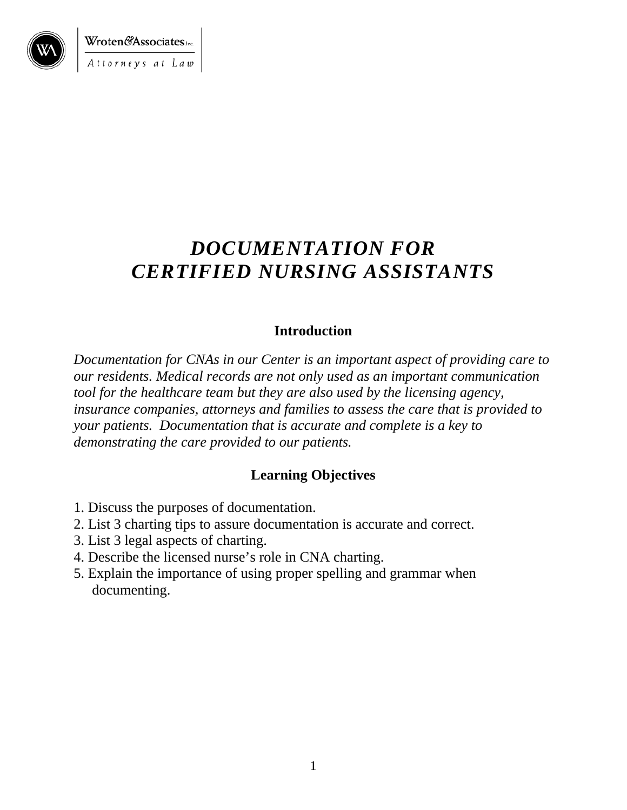

Wroten&Associates.inc. Attorneys at Law

## *DOCUMENTATION FOR CERTIFIED NURSING ASSISTANTS*

#### **Introduction**

*Documentation for CNAs in our Center is an important aspect of providing care to our residents. Medical records are not only used as an important communication tool for the healthcare team but they are also used by the licensing agency, insurance companies, attorneys and families to assess the care that is provided to your patients. Documentation that is accurate and complete is a key to demonstrating the care provided to our patients.* 

#### **Learning Objectives**

- 1. Discuss the purposes of documentation.
- 2. List 3 charting tips to assure documentation is accurate and correct.
- 3. List 3 legal aspects of charting.
- 4. Describe the licensed nurse's role in CNA charting.
- 5. Explain the importance of using proper spelling and grammar when documenting.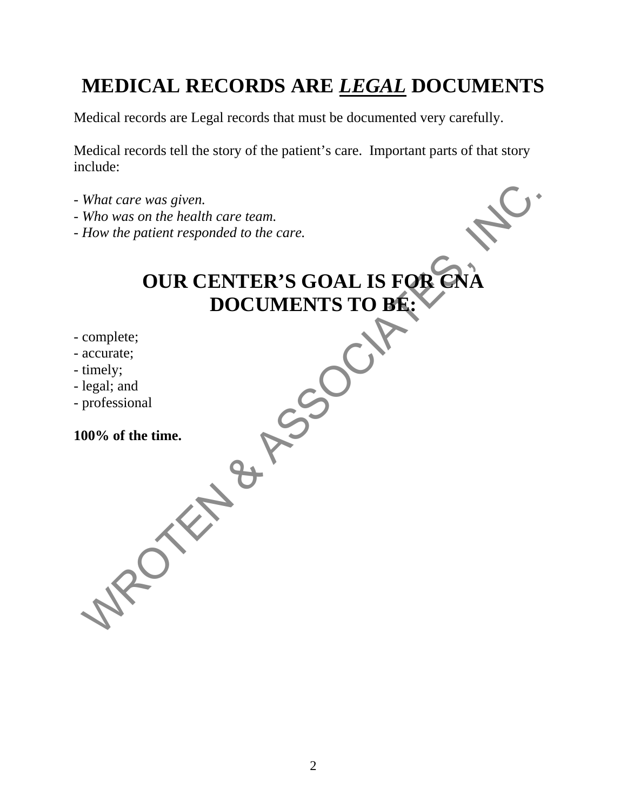## **MEDICAL RECORDS ARE** *LEGAL* **DOCUMENTS**

Medical records are Legal records that must be documented very carefully.

Medical records tell the story of the patient's care. Important parts of that story include:

- *What care was given.*
- *Who was on the health care team.*
- *How the patient responded to the care.*

# **OUR CENTER'S GOAL IS FOR CNA DOCUMENTS TO BE: DOCUMENTS TO BE:**  What care was given.<br>
Who was on the health care team.<br>
How the patient responded to the care.<br> **OUR CENTER'S GOAL IS FOR CNA**<br>
DOCUMENTS TO BE:<br>
complete;<br>
tegal; and<br>
professional<br>
professional<br> **OO%** of the time.<br>
<br>
<br>
<br>

- complete;
- accurate;
- timely;
- legal; and
- professional

#### **100% of the time.**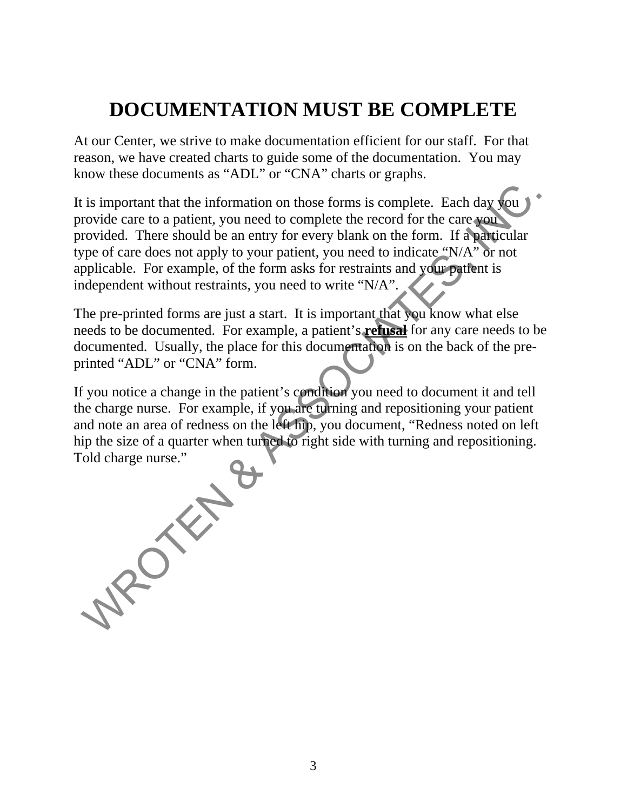## **DOCUMENTATION MUST BE COMPLETE**

At our Center, we strive to make documentation efficient for our staff. For that reason, we have created charts to guide some of the documentation. You may know these documents as "ADL" or "CNA" charts or graphs.

It is important that the information on those forms is complete. Each day you provide care to a patient, you need to complete the record for the care you provided. There should be an entry for every blank on the form. If a particular type of care does not apply to your patient, you need to indicate "N/A" or not applicable. For example, of the form asks for restraints and your patient is independent without restraints, you need to write "N/A".

The pre-printed forms are just a start. It is important that you know what else needs to be documented. For example, a patient's **refusal** for any care needs to be documented. Usually, the place for this documentation is on the back of the preprinted "ADL" or "CNA" form.

If you notice a change in the patient's condition you need to document it and tell the charge nurse. For example, if you are turning and repositioning your patient and note an area of redness on the left hip, you document, "Redness noted on left hip the size of a quarter when turned to right side with turning and repositioning. Told charge nurse."

**MROTEN**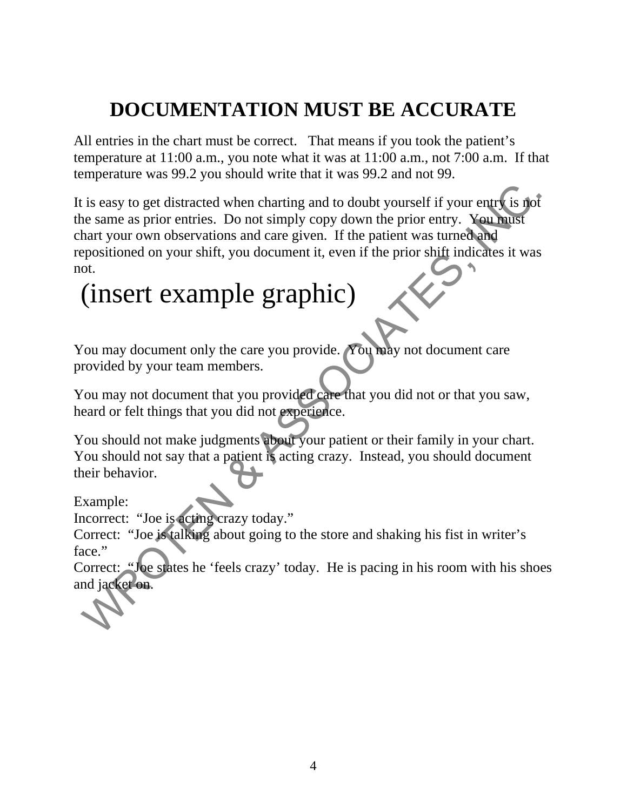## **DOCUMENTATION MUST BE ACCURATE**

All entries in the chart must be correct. That means if you took the patient's temperature at 11:00 a.m., you note what it was at 11:00 a.m., not 7:00 a.m. If that temperature was 99.2 you should write that it was 99.2 and not 99.

It is easy to get distracted when charting and to doubt yourself if your entry is not the same as prior entries. Do not simply copy down the prior entry. You must chart your own observations and care given. If the patient was turned and repositioned on your shift, you document it, even if the prior shift indicates it was not. is easy to get distracted when charting and to doubt yourself if your entry is not is a<br>since as ame as prior entries. Do not simply copy down the prior entry. You haist<br>hart your own observations and care given. If the pa

# (insert example graphic)

You may document only the care you provide. You may not document care provided by your team members.

You may not document that you provided care that you did not or that you saw, heard or felt things that you did not experience.

You should not make judgments about your patient or their family in your chart. You should not say that a patient is acting crazy. Instead, you should document their behavior.

Example:

Incorrect: "Joe is acting crazy today."

Correct: "Joe is talking about going to the store and shaking his fist in writer's face."

Correct: "Joe states he 'feels crazy' today. He is pacing in his room with his shoes and jacket on.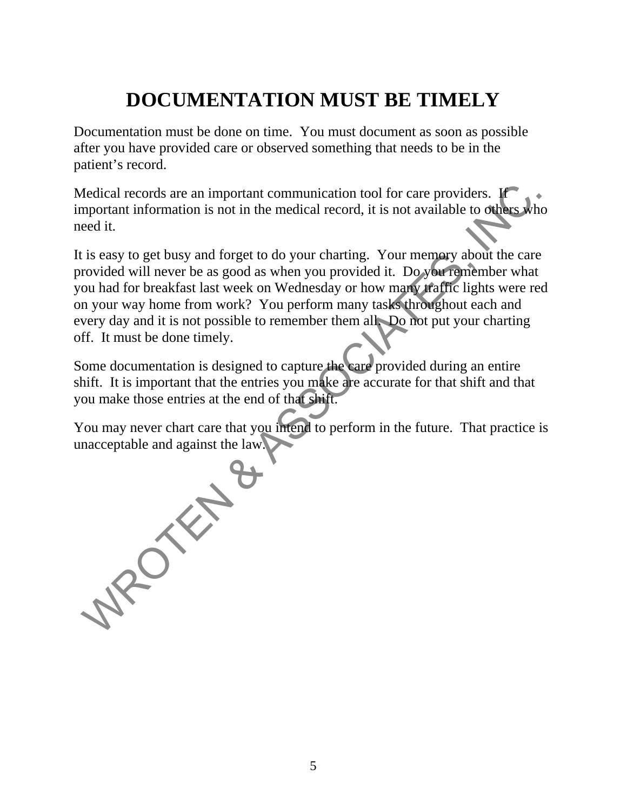## **DOCUMENTATION MUST BE TIMELY**

Documentation must be done on time. You must document as soon as possible after you have provided care or observed something that needs to be in the patient's record.

Medical records are an important communication tool for care providers. If important information is not in the medical record, it is not available to others who need it.

It is easy to get busy and forget to do your charting. Your memory about the care provided will never be as good as when you provided it. Do you remember what you had for breakfast last week on Wednesday or how many traffic lights were red on your way home from work? You perform many tasks throughout each and every day and it is not possible to remember them all. Do not put your charting off. It must be done timely.

Some documentation is designed to capture the care provided during an entire shift. It is important that the entries you make are accurate for that shift and that you make those entries at the end of that shift.

You may never chart care that you intend to perform in the future. That practice is unacceptable and against the law.

**MPONE**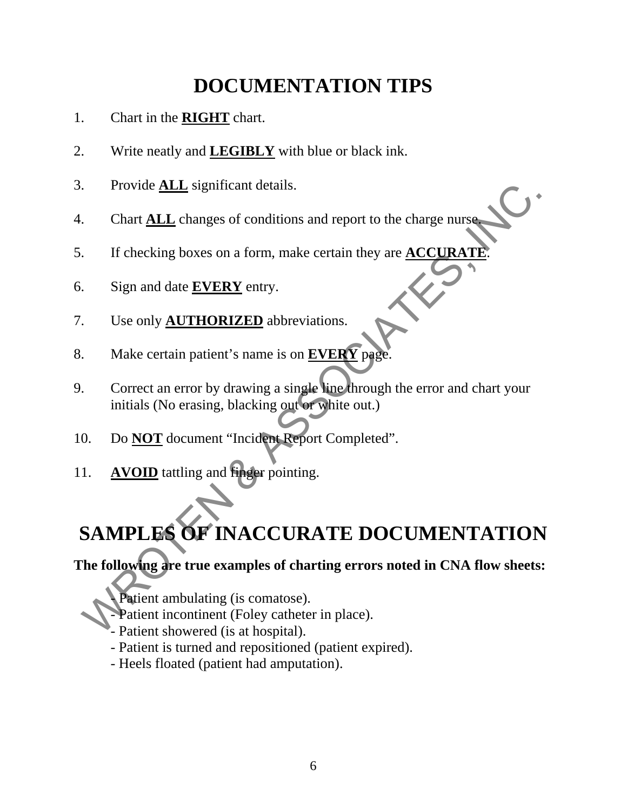## **DOCUMENTATION TIPS**

- 1. Chart in the **RIGHT** chart.
- 2. Write neatly and **LEGIBLY** with blue or black ink.
- 3. Provide **ALL** significant details.
- 4. Chart **ALL** changes of conditions and report to the charge nurse.
- 5. If checking boxes on a form, make certain they are **ACCURATE**.
- 6. Sign and date **EVERY** entry.
- 7. Use only **AUTHORIZED** abbreviations.
- 8. Make certain patient's name is on **EVERY** page.
- 9. Correct an error by drawing a single line through the error and chart your initials (No erasing, blacking out or white out.) Provide **ALL** significant details.<br>
Chart **ALL** changes of conditions and report to the charge nurse.<br>
If checking boxes on a form, make certain they are **ACCURATE**.<br>
Sign and date **EVERY** entry.<br>
Use only **AUTHORIZED** abb
- 10. Do **NOT** document "Incident Report Completed".
- 11. **AVOID** tattling and finger pointing.

## **SAMPLES OF INACCURATE DOCUMENTATION**

**The following are true examples of charting errors noted in CNA flow sheets:** 

- Patient ambulating (is comatose).

- Patient incontinent (Foley catheter in place).
	- Patient showered (is at hospital).
	- Patient is turned and repositioned (patient expired).
	- Heels floated (patient had amputation).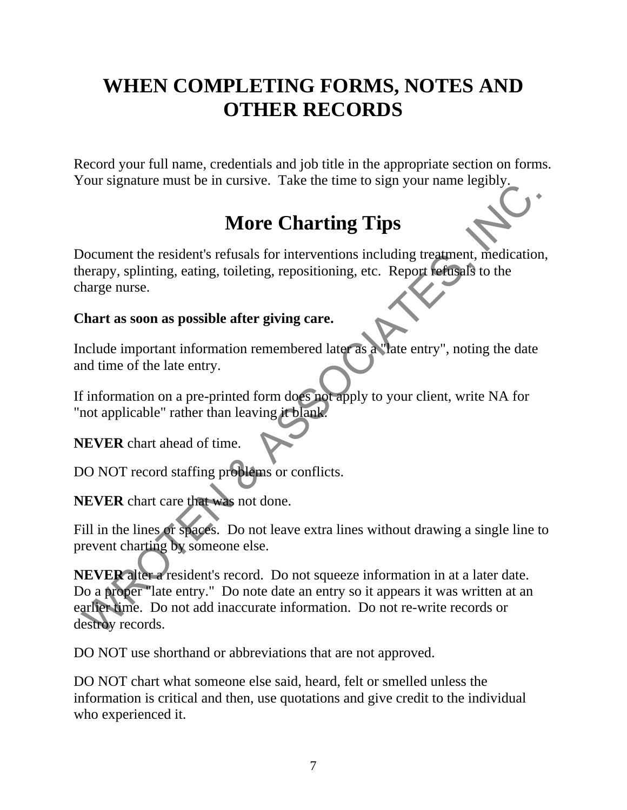## **WHEN COMPLETING FORMS, NOTES AND OTHER RECORDS**

Record your full name, credentials and job title in the appropriate section on forms. Your signature must be in cursive. Take the time to sign your name legibly.

## **More Charting Tips**

Document the resident's refusals for interventions including treatment, medication, therapy, splinting, eating, toileting, repositioning, etc. Report refusals to the charge nurse.

#### **Chart as soon as possible after giving care.**

Include important information remembered later as a "late entry", noting the date and time of the late entry.

If information on a pre-printed form does not apply to your client, write NA for "not applicable" rather than leaving it blank.

**NEVER** chart ahead of time.

DO NOT record staffing problems or conflicts.

**NEVER** chart care that was not done.

Fill in the lines or spaces. Do not leave extra lines without drawing a single line to prevent charting by someone else.

**NEVER** alter a resident's record. Do not squeeze information in at a later date. Do a proper "late entry." Do note date an entry so it appears it was written at an earlier time. Do not add inaccurate information. Do not re-write records or destroy records. Solution the resident's refusals for interventions including treatment, medication<br>
More Charting Tips<br>
Mocument the resident's refusals for interventions including treatment, medication<br>
tharge nurse.<br>
Thart as soon as po

DO NOT use shorthand or abbreviations that are not approved.

DO NOT chart what someone else said, heard, felt or smelled unless the information is critical and then, use quotations and give credit to the individual who experienced it.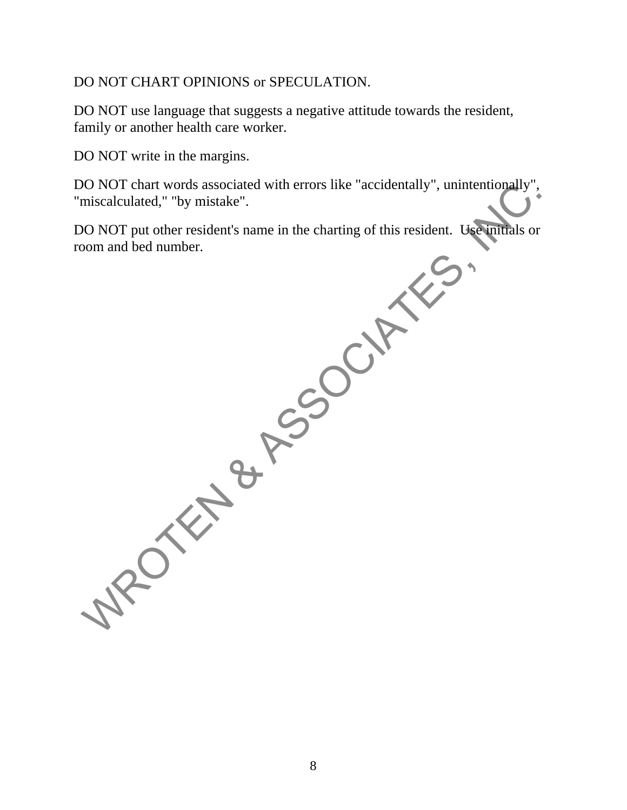#### DO NOT CHART OPINIONS or SPECULATION.

DO NOT use language that suggests a negative attitude towards the resident, family or another health care worker.

DO NOT write in the margins.

DO NOT chart words associated with errors like "accidentally", unintentionally", "miscalculated," "by mistake".

DO NOT put other resident's name in the charting of this resident. Use initials or room and bed number. NO NOT chart words associated with errors like "accidentally", unintentionally",<br>miscalculated," "by mistake".<br>
ON NOT put other resident's name in the charting of this resident. Uncommitals or<br>
om and bed number.

8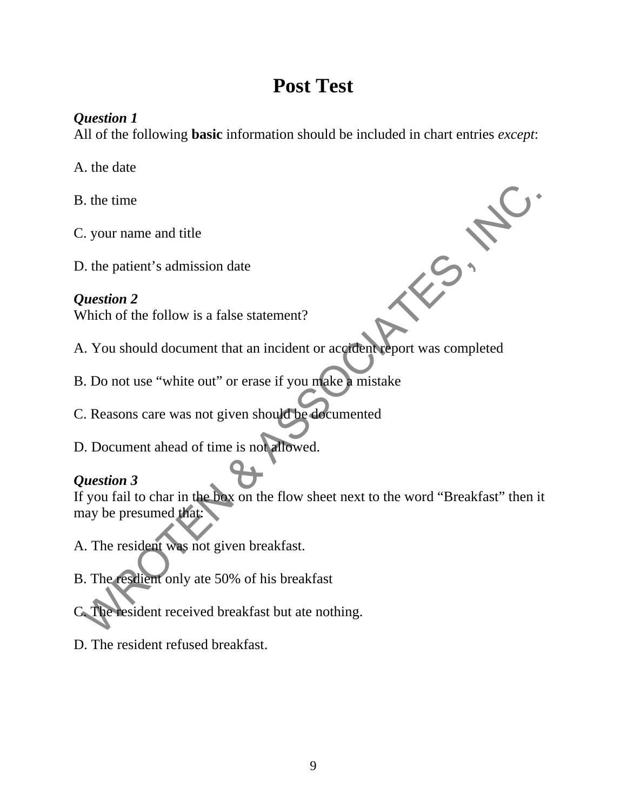## **Post Test**

#### *Question 1*

All of the following **basic** information should be included in chart entries *except*:

A. the date

B. the time

C. your name and title

D. the patient's admission date

*Question 2*  Which of the follow is a false statement?

- A. You should document that an incident or accident report was completed
- B. Do not use "white out" or erase if you make a mistake
- C. Reasons care was not given should be documented
- D. Document ahead of time is not allowed.

#### *Question 3*

If you fail to char in the box on the flow sheet next to the word "Breakfast" then it may be presumed that: Solution and the pair of the follow is a false statement?<br>
Which of the follow is a false statement?<br>
Which of the follow is a false statement?<br>
1. You should document that an incident or accelerated proport was completed<br>

A. The resident was not given breakfast.

- B. The resdient only ate 50% of his breakfast
- C. The resident received breakfast but ate nothing.
- D. The resident refused breakfast.